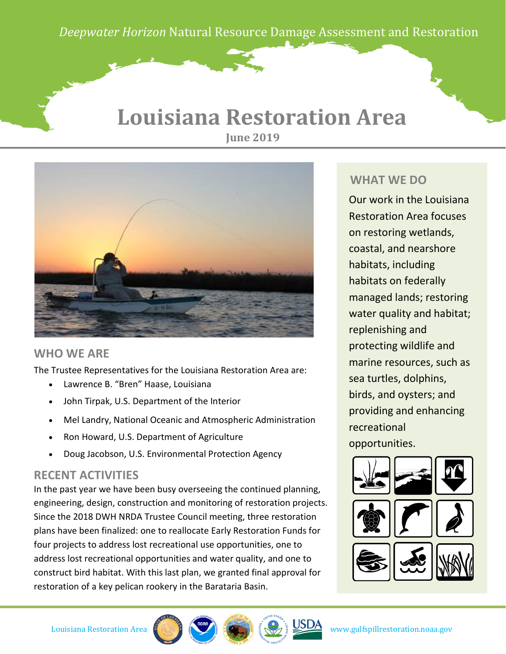*Deepwater Horizon* Natural Resource Damage Assessment and Restoration

*Deepwater Horizon* Natural Resource Damage Assessent and Restoration

## **Louisiana Restoration Area June 2019**



### **WHO WE ARE**

The Trustee Representatives for the Louisiana Restoration Area are:

- Lawrence B. "Bren" Haase, Louisiana
- John Tirpak, U.S. Department of the Interior
- Mel Landry, National Oceanic and Atmospheric Administration
- Ron Howard, U.S. Department of Agriculture
- Doug Jacobson, U.S. Environmental Protection Agency

### **RECENT ACTIVITIES**

In the past year we have been busy overseeing the continued planning, engineering, design, construction and monitoring of restoration projects. Since the 2018 DWH NRDA Trustee Council meeting, three restoration plans have been finalized: one to reallocate Early Restoration Funds for four projects to address lost recreational use opportunities, one to address lost recreational opportunities and water quality, and one to construct bird habitat. With this last plan, we granted final approval for restoration of a key pelican rookery in the Barataria Basin.

### **WHAT WE DO**

Our work in the Louisiana Restoration Area focuses on restoring wetlands, coastal, and nearshore habitats, including habitats on federally managed lands; restoring water quality and habitat; replenishing and protecting wildlife and marine resources, such as sea turtles, dolphins, birds, and oysters; and providing and enhancing recreational opportunities.







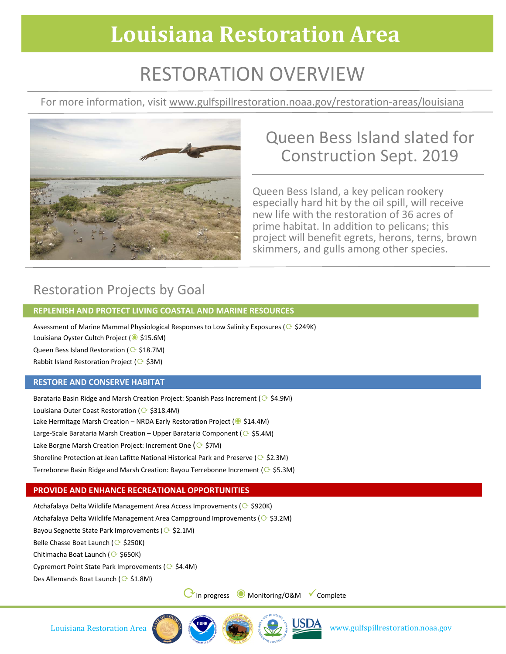# **Louisiana Restoration Area**

# RESTORATION OVERVIEW

For more information, visit www.gulfspillrestoration.noaa.gov/restoration-areas/louisiana



## Queen Bess Island slated for Construction Sept. 2019

Queen Bess Island, a key pelican rookery especially hard hit by the oil spill, will receive new life with the restoration of 36 acres of prime habitat. In addition to pelicans; this project will benefit egrets, herons, terns, brown skimmers, and gulls among other species.

## Restoration Projects by Goal

#### **REPLENISH AND PROTECT LIVING COASTAL AND MARINE RESOURCES**

Assessment of Marine Mammal Physiological Responses to Low Salinity Exposures ( $\odot$  \$249K) Louisiana Oyster Cultch Project (◉ \$15.6M)

Queen Bess Island Restoration ( S18.7M)

Rabbit Island Restoration Project ( $\odot$  \$3M)

#### **RESTORE AND CONSERVE HABITAT**

Barataria Basin Ridge and Marsh Creation Project: Spanish Pass Increment ( $\odot$  \$4.9M) Louisiana Outer Coast Restoration ( S318.4M) Lake Hermitage Marsh Creation – NRDA Early Restoration Project (◉ \$14.4M) Large-Scale Barataria Marsh Creation – Upper Barataria Component ( $\odot$  \$5.4M) Lake Borgne Marsh Creation Project: Increment One ( $\odot$  \$7M) Shoreline Protection at Jean Lafitte National Historical Park and Preserve ( $\odot$  \$2.3M) Terrebonne Basin Ridge and Marsh Creation: Bayou Terrebonne Increment ( $\odot$  \$5.3M)

### **PROVIDE AND ENHANCE RECREATIONAL OPPORTUNITIES**

Atchafalaya Delta Wildlife Management Area Access Improvements ( $\odot$  \$920K)

Atchafalaya Delta Wildlife Management Area Campground Improvements ( $\odot$  \$3.2M)

Bayou Segnette State Park Improvements ( $\odot$  \$2.1M)

Belle Chasse Boat Launch ( $\odot$  \$250K)

Chitimacha Boat Launch (企 \$650K)

Cypremort Point State Park Improvements ( $\odot$  \$4.4M)

Des Allemands Boat Launch ( $\odot$ \$1.8M)

⟳In progress ◉ Monitoring/O&M Complete